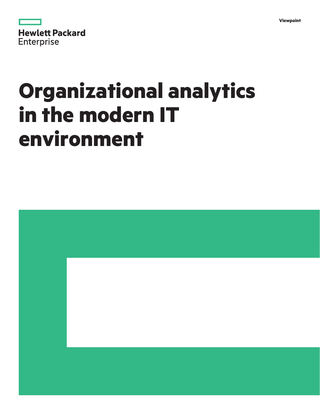| Vi<br>lewbolnt |
|----------------|
|----------------|

|                   | <b>Hewlett Packard</b> |
|-------------------|------------------------|
| <b>Enterprise</b> |                        |

# **Organizational analytics in the modern IT environment**

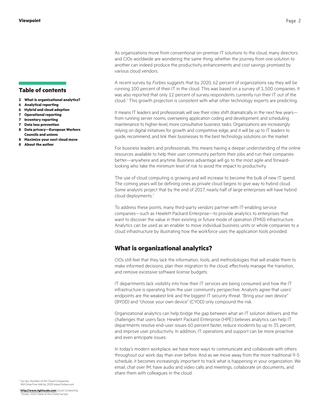#### **Table of contents**

- **2 What is organizational analytics?**
- **6 [Analytical reporting](#page-5-0)**
- **6 [Hybrid and cloud adoption](#page-5-0)**
- **7 [Operational reporting](#page-6-0)**
- **7 [Inventory reporting](#page-6-0)**
- **7 [Data loss prevention](#page-6-0)**
- **8 [Data privacy—European Workers](#page-7-0)  [Councils and unions](#page-7-0)**
- **8 [Maximize your next cloud move](#page-7-0)**
- **8 [About the author](#page-7-0)**

As organizations move from conventional on-premise IT solutions to the cloud, many directors and CIOs worldwide are wondering the same thing: whether the journey from one solution to another can indeed produce the productivity enhancements and cost savings promised by various cloud vendors.

A recent survey by *Forbes* suggests that by 2020, 62 percent of organizations say they will be running 100 percent of their IT in the cloud. This was based on a survey of 1,500 companies. It was also reported that only 12 percent of survey respondents currently run their IT out of the cloud. $^{1}$  This growth projection is consistent with what other technology experts are predicting.

It means IT leaders and professionals will see their roles shift dramatically in the next few years from running server rooms, overseeing application coding and development, and scheduling maintenance to higher-level, more consultative business tasks. Organizations are increasingly relying on digital initiatives for growth and competitive edge, and it will be up to IT leaders to guide, recommend, and link their businesses to the best technology solutions on the market.

For business leaders and professionals, this means having a deeper understanding of the online resources available to help their user community perform their jobs and run their companies better—anywhere and anytime. Business advantage will go to the most agile and forwardlooking who take the minimum level of risk to avoid the impact to productivity.

The use of cloud computing is growing and will increase to become the bulk of new IT spend. The coming years will be defining ones as private cloud begins to give way to hybrid cloud. Some analysts project that by the end of 2017, nearly half of large enterprises will have hybrid cloud deployments.<sup>2</sup>

To address these points, many third-party vendors partner with IT-enabling service companies—such as Hewlett Packard Enterprise—to provide analytics to enterprises that want to discover the value in their existing or future mode of operation (FMO) infrastructure. Analytics can be used as an enabler to move individual business units or whole companies to a cloud infrastructure by illustrating how the workforce uses the application tools provided.

## **What is organizational analytics?**

CIOs still feel that they lack the information, tools, and methodologies that will enable them to make informed decisions, plan their migration to the cloud, effectively manage the transition, and remove excessive software license budgets.

IT departments lack visibility into how their IT services are being consumed and how the IT infrastructure is operating from the user community perspective. Analysts agree that users' endpoints are the weakest link and the biggest IT security threat. "Bring your own device" (BYOD) and "choose your own device" (CYOD) only compound the risk.

Organizational analytics can help bridge the gap between what an IT solution delivers and the challenges that users face. Hewlett Packard Enterprise (HPE) believes analytics can help IT departments resolve end-user issues 60 percent faster, reduce incidents by up to 35 percent, and improve user productivity. In addition, IT operations and support can be more proactive and even anticipate issues.

In today's modern workplace, we have more ways to communicate and collaborate with others throughout our work day than ever before. And as we move away from the more traditional 9-5 schedule, it becomes increasingly important to track what is happening in your organization. We email, chat over IM, have audio and video calls and meetings, collaborate on documents, and share them with colleagues in the cloud.

Survey: Number of All-Cloud Companies Will Grow Five-fold by 2020 www.Forbes.com

<sup>2</sup> **<http://www.rightscale.com>** Cloud Computing 2015 State of the Cloud Survey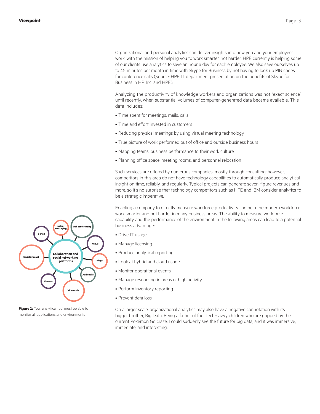Organizational and personal analytics can deliver insights into how you and your employees work, with the mission of helping you to work smarter, not harder. HPE currently is helping some of our clients use analytics to save an hour a day for each employee. We also save ourselves up to 45 minutes per month in time with Skype for Business by not having to look up PIN codes for conference calls (Source: HPE IT department presentation on the benefits of Skype for

Analyzing the productivity of knowledge workers and organizations was not "exact science" until recently, when substantial volumes of computer-generated data became available. This data includes:

• Time spent for meetings, mails, calls

Business in HP, Inc. and HPE).

- Time and effort invested in customers
- Reducing physical meetings by using virtual meeting technology
- True picture of work performed out of office and outside business hours
- Mapping teams' business performance to their work culture
- Planning office space, meeting rooms, and personnel relocation

Such services are offered by numerous companies, mostly through consulting; however, competitors in this area do not have technology capabilities to automatically produce analytical insight on time, reliably, and regularly. Typical projects can generate seven-figure revenues and more, so it's no surprise that technology competitors such as HPE and IBM consider analytics to be a strategic imperative.

Enabling a company to directly measure workforce productivity can help the modern workforce work smarter and not harder in many business areas. The ability to measure workforce capability and the performance of the environment in the following areas can lead to a potential business advantage:

- Drive IT usage
- Manage licensing
- Produce analytical reporting
- Look at hybrid and cloud usage
- Monitor operational events
- Manage resourcing in areas of high activity
- Perform inventory reporting
- Prevent data loss

On a larger scale, organizational analytics may also have a negative connotation with its bigger brother, Big Data. Being a father of four tech-savvy children who are gripped by the current Pokémon Go craze, I could suddenly see the future for big data, and it was immersive, immediate, and interesting.

![](_page_2_Figure_20.jpeg)

**Figure 1:** Your analytical tool must be able to monitor all applications and environments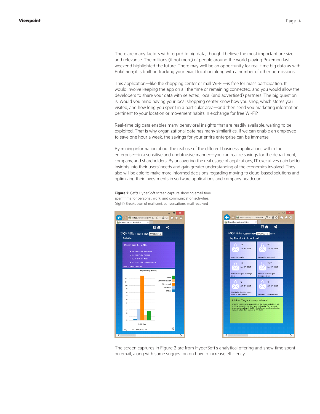There are many factors with regard to big data, though I believe the most important are size and relevance. The millions (if not more) of people around the world playing Pokémon last weekend highlighted the future. There may well be an opportunity for real-time big data as with Pokémon; it is built on tracking your exact location along with a number of other permissions.

This application—like the shopping center or mall Wi-Fi—is free for mass participation. It would involve keeping the app on all the time or remaining connected, and you would allow the developers to share your data with selected, local (and advertised) partners. The big question is: Would you mind having your local shopping center know how you shop, which stores you visited, and how long you spent in a particular area—and then send you marketing information pertinent to your location or movement habits in exchange for free Wi-Fi?

Real-time big data enables many behavioral insights that are readily available, waiting to be exploited. That is why organizational data has many similarities. If we can enable an employee to save one hour a week, the savings for your entire enterprise can be immense.

By mining information about the real use of the different business applications within the enterprise—in a sensitive and unobtrusive manner—you can realize savings for the department, company, and shareholders. By uncovering the real usage of applications, IT executives gain better insights into their users' needs and gain greater understanding of the economics involved. They also will be able to make more informed decisions regarding moving to cloud-based solutions and optimizing their investments in software applications and company headcount.

**Figure 2:** (left) HyperSoft screen capture showing email time spent time for personal, work, and communication activities. (right) Breakdown of mail sent, conversations, mail received

![](_page_3_Figure_6.jpeg)

![](_page_3_Picture_7.jpeg)

The screen captures in Figure 2 are from HyperSoft's analytical offering and show time spent on email, along with some suggestion on how to increase efficiency.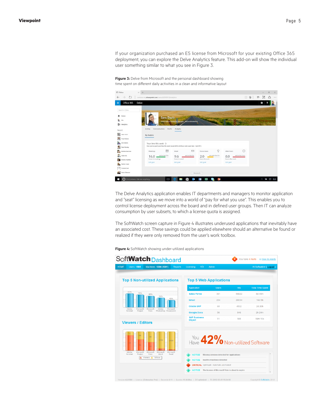If your organization purchased an E5 license from Microsoft for your existing Office 365 deployment, you can explore the Delve Analytics feature. This add-on will show the individual user something similar to what you see in Figure 3.

**Figure 3:** Delve from Microsoft and the personal dashboard showing time spent on different daily activities in a clean and informative layout

| $\Box$ Delve                       | $\times$ +                                         |                                                                                        |                                |                                  | 8<br>×                           |
|------------------------------------|----------------------------------------------------|----------------------------------------------------------------------------------------|--------------------------------|----------------------------------|----------------------------------|
| O<br>$\rightarrow$<br>$\leftarrow$ | contose-my.sharepoint.com/users/62910513/analytics |                                                                                        |                                | ■☆                               | Ø<br>A<br>$\equiv$<br>$\sim$ and |
| Office 365<br>冊                    | Delve                                              |                                                                                        |                                |                                  | Ö.                               |
| Search in Debis.                   |                                                    |                                                                                        |                                |                                  |                                  |
| Home<br>ñ                          | <b>Sara Davis</b>                                  |                                                                                        |                                |                                  |                                  |
| Me                                 |                                                    | Serior Pentiled Marketing Massow, Sales and Marketing                                  |                                |                                  |                                  |
| <b>Ei</b> Analytics                |                                                    |                                                                                        |                                |                                  |                                  |
| Recent                             | Communications<br>Activity<br>Profile              | Analytics                                                                              |                                |                                  |                                  |
| <b>Bax</b><br>Sales Team           | My Asalytics                                       |                                                                                        |                                |                                  |                                  |
| Tony Krýsen                        |                                                    |                                                                                        |                                |                                  |                                  |
| Allie Bellew                       | Your time this week @                              |                                                                                        |                                |                                  |                                  |
| <b>Pavel Bansky</b>                |                                                    | How you've spent your time this week (based off of a 40 hour work week Stam - Spm M-F) |                                |                                  |                                  |
| Belinda Newman                     | 册<br>Meetings                                      | ⊠<br>Fmail                                                                             | Focus hours                    | ⊙<br>After hours                 |                                  |
| Julian Isla                        | good-loca than 31 has<br>16.0                      | good least fast 9 hrs.<br>9.6                                                          | pital production 4 lets<br>2.0 | quali-last than 5 listers<br>8.0 |                                  |
| w<br>Downs Parchive                | hours in meetings<br>Eclit goal                    | hours in email<br>Edit ocul                                                            | hours for work<br>Edit goal    | hours after work.<br>Edit goal   |                                  |
| <b>Fabrice Canel</b><br>ß.         |                                                    |                                                                                        |                                |                                  |                                  |
| Custom User                        |                                                    |                                                                                        |                                |                                  |                                  |
| a.<br>Danis Delvenne               |                                                    |                                                                                        | Network                        |                                  |                                  |
| ш                                  | Ō<br>I'm Cortana. Ask me anything.                 | on<br>×                                                                                | 12<br>۰ī                       |                                  | $\widehat{\phantom{a}}$          |

The Delve Analytics application enables IT departments and managers to monitor application and "seat" licensing as we move into a world of "pay for what you use". This enables you to control license deployment across the board and in defined user groups. Then IT can analyze consumption by user subsets, to which a license quota is assigned.

The SoftWatch screen capture in Figure 4 illustrates underused applications that inevitably have an associated cost. These savings could be applied elsewhere should an alternative be found or realized if they were only removed from the user's work toolbox.

Soft**Watch** Dashboard You have 4 Alerts o View All All **Top 5 Non-utilized Applications Top 5 Web Applications** otal Time Spe Hits **Sales Force** 361 56822 **8d 45m** 234 29334 16d 5h .<br>Gmail Oracle FRP  $60^{\circ}$ 4532  $2d$  20b 846 **Google Docs** 56  $2h 24m$ SAP Business<br>Object  $51$  $508$ 59m 10s **Viewers / Editors** You 42% Non-utilized Software Have TICE Inactive machines detected **CRITICAL** Optimizelt - Automatic Job Failed! The license of Microsoft Visio is about to expire

**Figure 4:** SoftWatch showing under-utilized applications

ise Pro] | Seconds 0.11 | Qu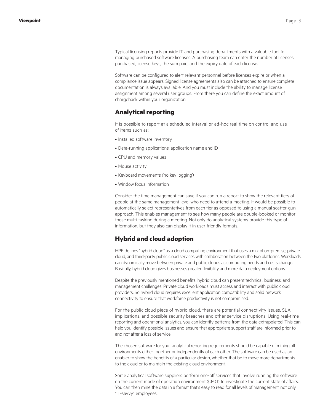<span id="page-5-0"></span>Typical licensing reports provide IT and purchasing departments with a valuable tool for managing purchased software licenses. A purchasing team can enter the number of licenses purchased, license keys, the sum paid, and the expiry date of each license.

Software can be configured to alert relevant personnel before licenses expire or when a compliance issue appears. Signed license agreements also can be attached to ensure complete documentation is always available. And you must include the ability to manage license assignment among several user groups. From there you can define the exact amount of chargeback within your organization.

### **Analytical reporting**

It is possible to report at a scheduled interval or ad-hoc real time on control and use of items such as:

- Installed software inventory
- Data-running applications: application name and ID
- CPU and memory values
- Mouse activity
- Keyboard movements (no key logging)
- Window focus information

Consider the time management can save if you can run a report to show the relevant tiers of people at the same management level who need to attend a meeting. It would be possible to automatically select representatives from each tier as opposed to using a manual scatter-gun approach. This enables management to see how many people are double-booked or monitor those multi-tasking during a meeting. Not only do analytical systems provide this type of information, but they also can display it in user-friendly formats.

### **Hybrid and cloud adoption**

HPE defines "hybrid cloud" as a cloud computing environment that uses a mix of on-premise, private cloud, and third-party public cloud services with collaboration between the two platforms. Workloads can dynamically move between private and public clouds as computing needs and costs change. Basically, hybrid cloud gives businesses greater flexibility and more data deployment options.

Despite the previously mentioned benefits, hybrid cloud can present technical, business, and management challenges. Private cloud workloads must access and interact with public cloud providers. So hybrid cloud requires excellent application compatibility and solid network connectivity to ensure that workforce productivity is not compromised.

For the public cloud piece of hybrid cloud, there are potential connectivity issues, SLA implications, and possible security breaches and other service disruptions. Using real-time reporting and operational analytics, you can identify patterns from the data extrapolated. This can help you identify possible issues and ensure that appropriate support staff are informed prior to and not after a loss of service.

The chosen software for your analytical reporting requirements should be capable of mining all environments either together or independently of each other. The software can be used as an enabler to show the benefits of a particular design, whether that be to move more departments to the cloud or to maintain the existing cloud environment.

Some analytical software suppliers perform one-off services that involve running the software on the current mode of operation environment (CMO) to investigate the current state of affairs. You can then mine the data in a format that's easy to read for all levels of management, not only "IT-savvy" employees.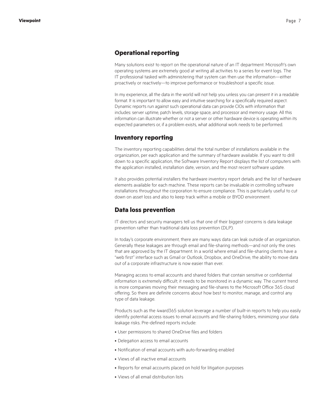#### <span id="page-6-0"></span>**Operational reporting**

Many solutions exist to report on the operational nature of an IT department. Microsoft's own operating systems are extremely good at writing all activities to a series for event logs. The IT professional tasked with administering that system can then use the information—either proactively or reactively—to improve performance or troubleshoot a specific issue.

In my experience, all the data in the world will not help you unless you can present it in a readable format. It is important to allow easy and intuitive searching for a specifically required aspect. Dynamic reports run against such operational data can provide CIOs with information that includes: server uptime, patch levels, storage space, and processor and memory usage. All this information can illustrate whether or not a server or other hardware device is operating within its expected parameters or, if a problem exists, what additional work needs to be performed.

#### **Inventory reporting**

The inventory reporting capabilities detail the total number of installations available in the organization, per each application and the summary of hardware available. If you want to drill down to a specific application, the Software Inventory Report displays the list of computers with the application installed, installation date, version, and the most recent software update.

It also provides potential installers the hardware inventory report details and the list of hardware elements available for each machine. These reports can be invaluable in controlling software installations throughout the corporation to ensure compliance. This is particularly useful to cut down on asset loss and also to keep track within a mobile or BYOD environment.

#### **Data loss prevention**

IT directors and security managers tell us that one of their biggest concerns is data leakage prevention rather than traditional data loss prevention (DLP).

In today's corporate environment, there are many ways data can leak outside of an organization. Generally these leakages are through email and file-sharing methods—and not only the ones that are approved by the IT department. In a world where email and file-sharing clients have a "web first" interface such as Gmail or Outlook, Dropbox, and OneDrive, the ability to move data out of a corporate infrastructure is now easier than ever.

Managing access to email accounts and shared folders that contain sensitive or confidential information is extremely difficult; it needs to be monitored in a dynamic way. The current trend is more companies moving their messaging and file-shares to the Microsoft Office 365 cloud offering. So there are definite concerns about how best to monitor, manage, and control any type of data leakage.

Products such as the 4ward365 solution leverage a number of built-in reports to help you easily identify potential access issues to email accounts and file-sharing folders, minimizing your data leakage risks. Pre-defined reports include:

- User permissions to shared OneDrive files and folders
- Delegation access to email accounts
- Notification of email accounts with auto-forwarding enabled
- Views of all inactive email accounts
- Reports for email accounts placed on hold for litigation purposes
- Views of all email distribution lists